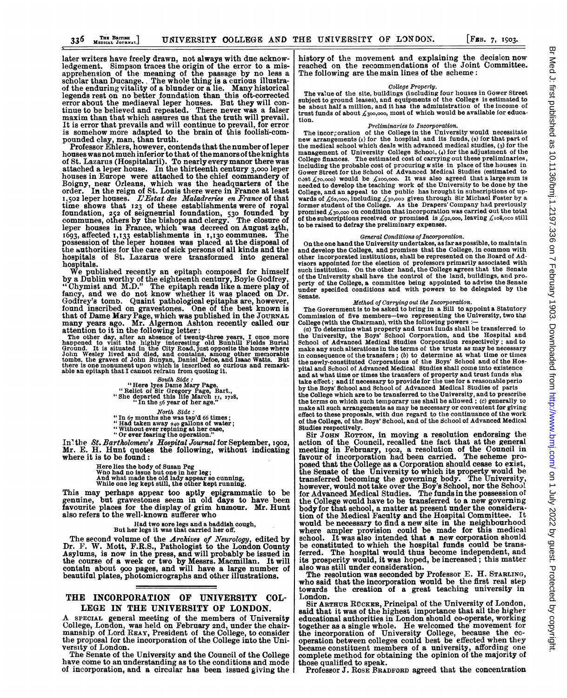later writers have freely drawn, not always with due acknowledgement. Simpson traces the origin of the error to a misapprehension of the meaning of the passage by no less a scholar than Ducange. The whole thing is a curious illustraof the enduring vitality of a blunder or a lie. Many historical legends rest on no better foundation than this oft-corrected error about the mediaeval leper houses. But they will con-tinue to be believed and repeated. There never was a falser maxim than that which assures us that the truth will prevail. It is error that prevails and will continue to prevail, for error is somehow more adapted to the brain of this foolish-compounded clay, man, than truth.

Professor Ehlers, however, contends that the number of leper houses was not much inferior to that of the manors of theknights of St. Lazarus (Hospitalarii). To nearly every manor there was attached a leper house. In the thirteenth century 3,000 leper houses in Europe were attached to the chief commandery of Boigny, near Orleans, which was the headquarters of the<br>order. In the reign of St. Louis there were in France at least<br>1,502 leper houses. *L'Estat des Maladreries en France* of that time shows that 123 of these establishments were of royal foundation, 252 of seigneurial foundation, 530 founded by communes, others by the bishops and clergy. The closure of leper houses in France, which was decreed on August 24th, 1693, affected 1,133 establishments in 1,130 communes. The possession of the Ieper houses was placed at the disposal of the authorities for the care of sick persons of all kinds and the hospitals of St. Lazarus were transformed into general hospitals.

We published recently an epitaph composed for himself by a Dublin worthy of the eighteenth century, Boyle Godfrey,<br>"Chymist and M.D." The epitaph reads like a mere play of<br>fancy, and we do not know whether it was placed on Dr.<br>Godfrey's tomb. Quaint pathological epitaphs are,

that of Dame Mary Page, which was published in the JOURNAL<br>many years ago. Mr. Algernon Ashton recently called our<br>attention to it in the following letter:<br>The other day, after an absence of twenty-three years, I once more able an epitaph that I cannot refrain from quoting it.

South Side:<br>"Here lyes Dame Mary Page,<br>"Relict of Sir Gregory Page, Bart.,<br>"She departed this life March 11, 1728,<br>"In the 56 year of her age."

North Side: "In <sup>67</sup> months she was tap'd 66 times; "Had taken away <sup>240</sup> gallons of water; "Without ever repining at her case, "Or ever fearing the operation."

In'the St. Bartholomew's Hospital Journal for September, 1902, Mr. E. H. Hunt quotes the following, without indicating where it is to be found:

Here lies the body of Susan Peg Wlio had no issue but one in her leg; And what made the old lady appear so cunning, While one leg kept still, the other kept running.

This may perhaps appear too aptly epigrammatic to be genuine, but gravestones seem in old days to have been favourite places for the display of grim humour. Mr. Hunt also refers to the well-known sufferer who

# Had two sore legs and a baddish cough, But her legs it was that carried her off.

The second volume of the Archives of Neurology, edited by Dr. F. W. Mott, F.R.S., Pathologist to the London County<br>Asylums, is now in the press, and will probably be issued in<br>the course of a week or two by Messrs. Macmillan. It will<br>contain about 900 pages, and will have a large

## THE INCORPORATION OF UNIVERSITY COL-LEGE IN THE UNIVERSITY OF LONDON.

A SPECIAL general meeting of the members of University College, London, was held on February 2nd, under the chairmanship of Lord REAY, President of the College, to consider the proposal for the incorporation of the College into the University of London.

The Senate of the University and the Council of the College have come to an understanding as to the conditions and mode of incorporation, and a circalar has been issued giving the

history of the movement and explaining the decision now reached on the recommendations of the Joint Oommittee. The following are the main lines of the scheme:

### College Property.

The value of the site, buildings (including four houses in Gower Street subject to ground leases), and equipments of the College is estimated to be about half a million, and it has the administration of the income of trust funds of about  $f_3$ 00,000, most of which would be available for education.

#### Preliminaries to Incorporation.

The incorporation of the College in the University would necessitate new arrangements (i) for the hospital and its funds, (2) for that part of the medical school which deals with advanced medical studies, (3) for the management of University College School, (4) for the adjustment of the College finances. The estimated cost of carrying out these preliminaries, including the probable cost of procuring <sup>a</sup>' site in place of the houses in Gower Street for the School of Advanced Medical Studies (estimated to cost  $f_70,000$  would be  $f_200,000$ . It was also agreed that a large sum is needed to develop the teaching work of the University to be done by the College, and an appeal to the public has brought in subscriptions of upwards of  $f_{02,000}$ , including  $f_{30,000}$  given through Sir Michael Foster by a former student of the College. As the Drapers' Company had previously promised  $f_{30,000}$  on condition that incorporation was carried out of the subscriptions received or promised is  $\mathcal{L}_9$ 2,000, leaving  $\mathcal{L}_1$ 108,000 still to be raised to defray the preliminary expenses.

### General Conditions of Incorporation.

On the one hand the University undertakes, as far aspossible, to maintain and develop the College, and promises that the College, in common with other incorporated institutions, shall be represented on the Board of Advisors appointed for the election of professors primarily associated with such institution. On the other hand, the College agrees that the Senate of the University shall have the control of the land, buildings, and property of the College, a committee being appointed to advise the Senate under specified conditions and with powers to be delegated by the Senate.

## Method of Carrying out the Incorporation.

The Government is to be asked to bring in a Bill to appoint a Statutory Commission of five members—two representing the University, two the College (with the Chairman), with the following powers :—<br>(a) To determine what property and trust funds shall be transferred to

the University, the Boys' School Corporation, and the Hospital and School of Advanced Medical Studies Corporation respectively; and to make any such alterations in the terms of the trusts as may be necessary in consequence of the transfers; (b) to determine at what time or times the newly-constituted Corporations of the Boys' School and of the Hos-pital and School of Advanced Medical Studies shall come into existence and at what time or times the transfers of property and trust funds sha take effect; and if necessary to provide for the use for a reasonable perio by the Boys' School and School of Advanced Medical Studies of parts the College which are to be transferred to the University, and to prescribe the terms on which such temporary use shall be allowed ; (c) generally to make all such arrangements as may be necessary or convenient for giving effect to these proposals, with due regard to the continuance of the work of the College, of the Boys' School, and of the School of Advanced Medical Studies respectively.

Sir JOHN ROTTON, in moving a resolution endorsing the action of the Council, recalled the fact that at the general meeting in February, 1902, a resolution of the Council in favour of incorporation had been carried. The scheme proposed that the College as a Corporation should cease to exist, the Senate of the University to which its property would be transferred becoming the governing body. The University, however, would not take over the Boy's School, nor the School for Advanced Medical Studies. The funds in the possession of the College would have to be transferred to a new governing body for that school, a matter at present under the considera-tion of the Medical Faculty and the Hospital Committee. It would be necessary to find a new site in the neighbourhood where ampler provision could be made for this medical school. It was also intended that a new corporation should be constituted to which the hospital funds could be trans-ferred. The hospital would thus become independent, and its prosperity would, it was hoped, be increased ; this matter also was still under consideration.

The resolution was seconded by Professor E. H. STARLING, who said that the incorporation would be the first real step towards the creation of a great teaching university in London.

Sir ARTHUR RICKER, Principal of the University of London, said that it was of the highest importance that all the higher educational authorities in London should co-operate, working together as a single whole. He welcomed the movement for the incorporation of University College, because the co-<br>operation between colleges could best be effected when they<br>became constituent members of a university, affording one<br>complete method for obtaining the opinion of th those qualified to speak.

Profeseor J. ROSE BRADFORD agreed that the concentration